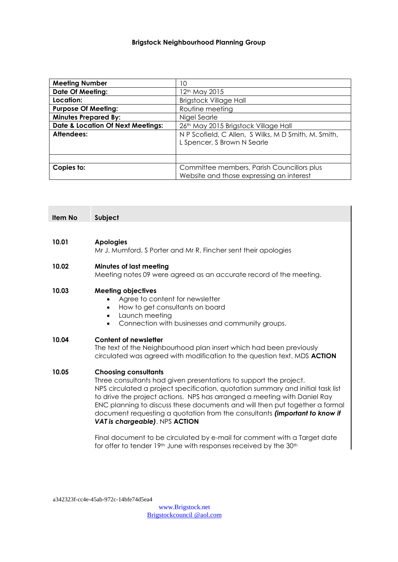## **Brigstock Neighbourhood Planning Group**

| <b>Meeting Number</b>                                              | 10                                         |
|--------------------------------------------------------------------|--------------------------------------------|
| <b>Date Of Meeting:</b>                                            | 12 <sup>th</sup> May 2015                  |
| Location:                                                          | <b>Brigstock Village Hall</b>              |
| <b>Purpose Of Meeting:</b>                                         | Routine meeting                            |
| <b>Minutes Prepared By:</b>                                        | Nigel Searle                               |
| <b>Date &amp; Location Of Next Meetings:</b>                       | 26th May 2015 Brigstock Village Hall       |
| N P Scofield, C Allen, S Wilks, M D Smith, M. Smith,<br>Attendees: |                                            |
|                                                                    | L Spencer, S Brown N Searle                |
|                                                                    |                                            |
|                                                                    |                                            |
| Copies to:                                                         | Committee members, Parish Councillors plus |
|                                                                    | Website and those expressing an interest   |

| Item No | Subject                                                                                                                                                                                                                   |
|---------|---------------------------------------------------------------------------------------------------------------------------------------------------------------------------------------------------------------------------|
|         |                                                                                                                                                                                                                           |
| 10.01   | <b>Apologies</b><br>Mr J. Mumford, S Porter and Mr R. Fincher sent their apologies                                                                                                                                        |
| 10.02   | Minutes of last meeting<br>Meeting notes 09 were agreed as an accurate record of the meeting.                                                                                                                             |
| 10.03   | <b>Meeting objectives</b><br>Agree to content for newsletter<br>$\bullet$<br>How to get consultants on board<br>$\bullet$<br>Launch meeting<br>$\bullet$<br>Connection with businesses and community groups.<br>$\bullet$ |
| 10.04   | <b>Content of newsletter</b><br>The text of the Neighbourhood plan insert which had been previously<br>circulated was agreed with modification to the question text. MDS <b>ACTION</b>                                    |

# **10.05 Choosing consultants**

Three consultants had given presentations to support the project. NPS circulated a project specification, quotation summary and initial task list to drive the project actions. NPS has arranged a meeting with Daniel Ray ENC planning to discuss these documents and will then put together a formal document requesting a quotation from the consultants *(important to know if VAT is chargeable)*. NPS **ACTION**

Final document to be circulated by e-mail for comment with a Target date for offer to tender 19<sup>th</sup> June with responses received by the 30<sup>th</sup>

a342323f-cc4e-45ab-972c-14bfe74d5ea4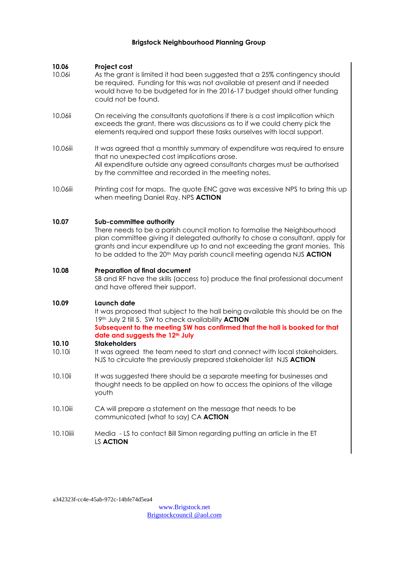## **Brigstock Neighbourhood Planning Group**

## **10.06 Project cost**

- 10.06i As the grant is limited it had been suggested that a 25% contingency should be required. Funding for this was not available at present and if needed would have to be budgeted for in the 2016-17 budget should other funding could not be found.
- 10.06ii On receiving the consultants quotations if there is a cost implication which exceeds the grant, there was discussions as to if we could cherry pick the elements required and support these tasks ourselves with local support.
- 10.06iii It was agreed that a monthly summary of expenditure was required to ensure that no unexpected cost implications arose. All expenditure outside any agreed consultants charges must be authorised by the committee and recorded in the meeting notes.
- 10.06iii Printing cost for maps. The quote ENC gave was excessive NPS to bring this up when meeting Daniel Ray. NPS **ACTION**

## **10.07 Sub-committee authority**

There needs to be a parish council motion to formalise the Neighbourhood plan committee giving it delegated authority to chose a consultant, apply for grants and incur expenditure up to and not exceeding the grant monies. This to be added to the 20<sup>th</sup> May parish council meeting agenda NJS **ACTION** 

#### **10.08 Preparation of final document**

SB and RF have the skills (access to) produce the final professional document and have offered their support.

## **10.09 Launch date**

It was proposed that subject to the hall being available this should be on the 19th July 2 till 5. SW to check availability **ACTION**

**Subsequent to the meeting SW has confirmed that the hall is booked for that date and suggests the 12th July**

#### **10.10 Stakeholders**

- 10.10i It was agreed the team need to start and connect with local stakeholders. NJS to circulate the previously prepared stakeholder list NJS **ACTION**
- 10.10ii It was suggested there should be a separate meeting for businesses and thought needs to be applied on how to access the opinions of the village youth
- 10.10iii CA will prepare a statement on the message that needs to be communicated (what to say) CA **ACTION**
- 10.10iiii Media LS to contact Bill Simon regarding putting an article in the ET LS **ACTION**

a342323f-cc4e-45ab-972c-14bfe74d5ea4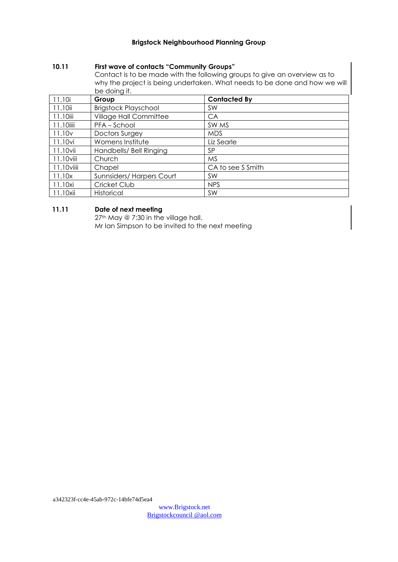## **Brigstock Neighbourhood Planning Group**

## **10.11 First wave of contacts "Community Groups"**

Contact is to be made with the following groups to give an overview as to why the project is being undertaken. What needs to be done and how we will be doing it.

| 11.10i             | Group                       | <b>Contacted By</b> |
|--------------------|-----------------------------|---------------------|
| 11.10ii            | <b>Brigstock Playschool</b> | <b>SW</b>           |
| 11.10iii           | Village Hall Committee      | CA                  |
| 11.10iiii          | PFA-School                  | SW MS               |
| 11.10 <sub>v</sub> | <b>Doctors Surgey</b>       | <b>MDS</b>          |
| 11.10vi            | Womens Institute            | Liz Searle          |
| 11.10vii           | Handbells/ Bell Ringing     | SP                  |
| $11.10$ viii       | Church                      | <b>MS</b>           |
| $11.10$ $\nu$ iiii | Chapel                      | CA to see S Smith   |
| 11.10x             | Sunnsiders/Harpers Court    | SW                  |
| 11.10xi            | Cricket Club                | <b>NPS</b>          |
| 11.10xii           | Historical                  | <b>SW</b>           |

## **11.11 Date of next meeting**

27<sup>th</sup> May @ 7:30 in the village hall. Mr Ian Simpson to be invited to the next meeting

a342323f-cc4e-45ab-972c-14bfe74d5ea4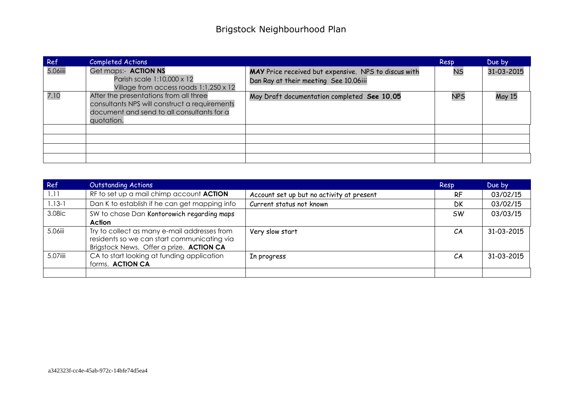| Ref      | <b>Completed Actions</b>                                                                                                                            |                                                                                               | Resp       | Due by        |
|----------|-----------------------------------------------------------------------------------------------------------------------------------------------------|-----------------------------------------------------------------------------------------------|------------|---------------|
| 5.06iiii | Get maps:- ACTION NS<br>Parish scale 1:10,000 x 12<br>Village from access roads 1:1,250 x 12                                                        | MAY Price received but expensive. NPS to discus with<br>Dan Ray at their meeting See 10.06iii | <b>NS</b>  | 31-03-2015    |
| 7.10     | After the presentations from all three<br>consultants NPS will construct a requirements<br>document and send to all consultants for a<br>quotation. | May Draft documentation completed See 10.05                                                   | <b>NPS</b> | <b>May 15</b> |
|          |                                                                                                                                                     |                                                                                               |            |               |
|          |                                                                                                                                                     |                                                                                               |            |               |
|          |                                                                                                                                                     |                                                                                               |            |               |
|          |                                                                                                                                                     |                                                                                               |            |               |

| Ref        | <b>Outstanding Actions</b>                                                                                                              |                                           | Resp      | Due by     |
|------------|-----------------------------------------------------------------------------------------------------------------------------------------|-------------------------------------------|-----------|------------|
| 1.11       | RF to set up a mail chimp account ACTION                                                                                                | Account set up but no activity at present | <b>RF</b> | 03/02/15   |
| $1.13 - 1$ | Dan K to establish if he can get mapping info                                                                                           | Current status not known                  | <b>DK</b> | 03/02/15   |
| 3.08ic     | SW to chase Dan Kontorowich regarding maps<br>Action                                                                                    |                                           | <b>SW</b> | 03/03/15   |
| 5.06iii    | Try to collect as many e-mail addresses from<br>residents so we can start communicating via<br>Brigstock News. Offer a prize. ACTION CA | Very slow start                           | CA        | 31-03-2015 |
| 5.07iiii   | CA to start looking at funding application<br>forms. ACTION CA                                                                          | In progress                               | CA        | 31-03-2015 |
|            |                                                                                                                                         |                                           |           |            |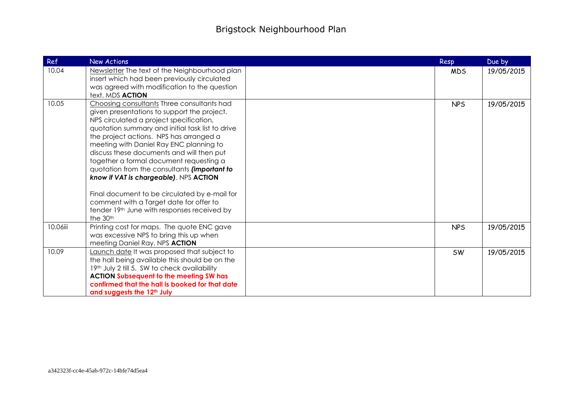| Ref      | <b>New Actions</b>                                                                                                                                                                                                                                                                                                                                                                                                                                                                                                                                                                                                      | Resp       | Due by     |
|----------|-------------------------------------------------------------------------------------------------------------------------------------------------------------------------------------------------------------------------------------------------------------------------------------------------------------------------------------------------------------------------------------------------------------------------------------------------------------------------------------------------------------------------------------------------------------------------------------------------------------------------|------------|------------|
| 10.04    | Newsletter The text of the Neighbourhood plan<br>insert which had been previously circulated<br>was agreed with modification to the question<br>text. MDS ACTION                                                                                                                                                                                                                                                                                                                                                                                                                                                        | <b>MDS</b> | 19/05/2015 |
| 10.05    | Choosing consultants Three consultants had<br>given presentations to support the project.<br>NPS circulated a project specification,<br>quotation summary and initial task list to drive<br>the project actions. NPS has arranged a<br>meeting with Daniel Ray ENC planning to<br>discuss these documents and will then put<br>together a formal document requesting a<br>quotation from the consultants (important to<br>know if VAT is chargeable). NPS ACTION<br>Final document to be circulated by e-mail for<br>comment with a Target date for offer to<br>tender 19th June with responses received by<br>the 30th | <b>NPS</b> | 19/05/2015 |
| 10.06iii | Printing cost for maps. The quote ENC gave<br>was excessive NPS to bring this up when<br>meeting Daniel Ray. NPS ACTION                                                                                                                                                                                                                                                                                                                                                                                                                                                                                                 | <b>NPS</b> | 19/05/2015 |
| 10.09    | Launch date It was proposed that subject to<br>the hall being available this should be on the<br>19th July 2 till 5. SW to check availability<br><b>ACTION Subsequent to the meeting SW has</b><br>confirmed that the hall is booked for that date<br>and suggests the 12 <sup>th</sup> July                                                                                                                                                                                                                                                                                                                            | <b>SW</b>  | 19/05/2015 |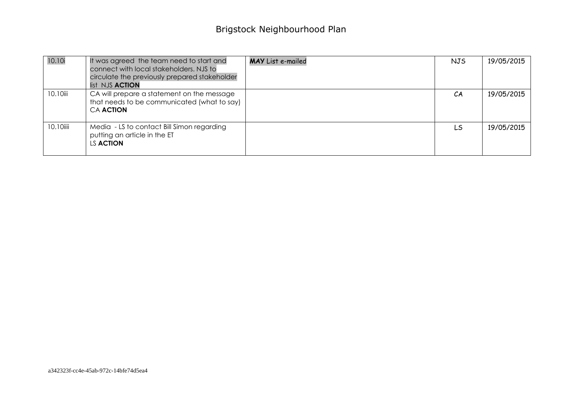| 10.10i    | It was agreed the team need to start and<br>connect with local stakeholders. NJS to<br>circulate the previously prepared stakeholder<br>list NJS <b>ACTION</b> | <b>MAY</b> List e-mailed | <b>NJS</b> | 19/05/2015 |
|-----------|----------------------------------------------------------------------------------------------------------------------------------------------------------------|--------------------------|------------|------------|
| 10.10iii  | CA will prepare a statement on the message<br>that needs to be communicated (what to say)<br><b>CA ACTION</b>                                                  |                          | CA         | 19/05/2015 |
| 10.10iiii | Media - LS to contact Bill Simon regarding<br>putting an article in the ET<br>LS <b>ACTION</b>                                                                 |                          | LS         | 19/05/2015 |